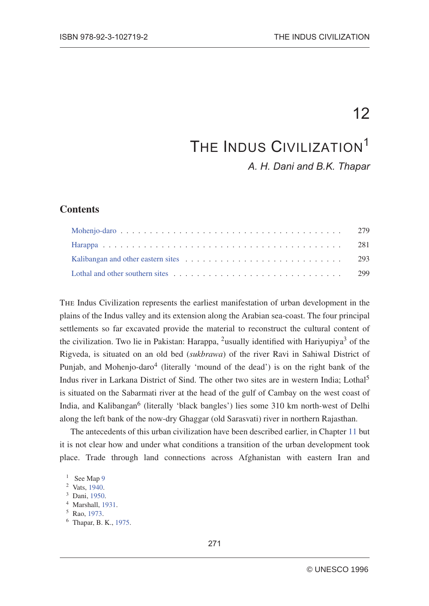## 12

# THE INDUS CIVILIZATION<sup>1</sup>

*A. H. Dani and B.K. Thapar*

#### **Contents**

The Indus Civilization represents the earliest manifestation of urban development in the plains of the Indus valley and its extension along the Arabian sea-coast. The four principal settlements so far excavated provide the material to reconstruct the cultural content of the civilization. Two lie in Pakistan: Harappa, <sup>2</sup>usually identified with Hariyupiya<sup>3</sup> of the Rigveda, is situated on an old bed (*sukbrawa*) of the river Ravi in Sahiwal District of Punjab, and Mohenjo-daro<sup>4</sup> (literally 'mound of the dead') is on the right bank of the Indus river in Larkana District of Sind. The other two sites are in western India; Lothal5 is situated on the Sabarmati river at the head of the gulf of Cambay on the west coast of India, and Kalibangan<sup>6</sup> (literally 'black bangles') lies some 310 km north-west of Delhi along the left bank of the now-dry Ghaggar (old Sarasvati) river in northern Rajasthan.

The antecedents of this urban civilization have been described earlier, in Chapter 11 but it is not clear how and under what conditions a transition of the urban development took place. Trade through land connections across Afghanistan with eastern Iran and

<sup>&</sup>lt;sup>1</sup> See Map 9

<sup>2</sup> Vats, 1940.

<sup>3</sup> Dani, 1950.

<sup>4</sup> Marshall, 1931.

<sup>5</sup> Rao, 1973.

<sup>6</sup> Thapar, B. K., 1975.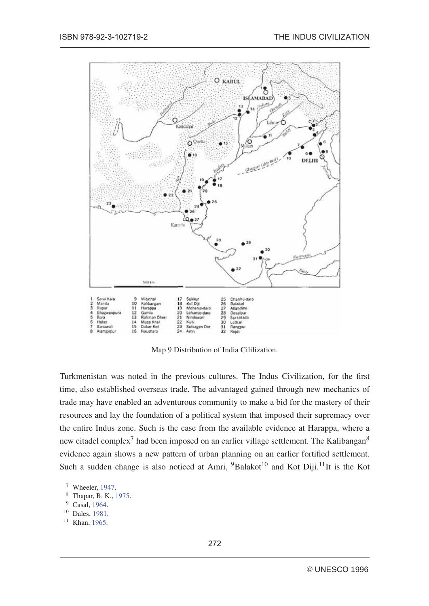

Map 9 Distribution of India Cililization.

Turkmenistan was noted in the previous cultures. The Indus Civilization, for the first time, also established overseas trade. The advantaged gained through new mechanics of trade may have enabled an adventurous community to make a bid for the mastery of their resources and lay the foundation of a political system that imposed their supremacy over the entire Indus zone. Such is the case from the available evidence at Harappa, where a new citadel complex<sup>7</sup> had been imposed on an earlier village settlement. The Kalibangan<sup>8</sup> evidence again shows a new pattern of urban planning on an earlier fortified settlement. Such a sudden change is also noticed at Amri,  $9Balakot<sup>10</sup>$  and Kot Diji.<sup>11</sup>It is the Kot

<sup>7</sup> Wheeler, 1947.

<sup>8</sup> Thapar, B. K., 1975.

<sup>9</sup> Casal, 1964.

<sup>10</sup> Dales, 1981.

<sup>&</sup>lt;sup>11</sup> Khan, 1965.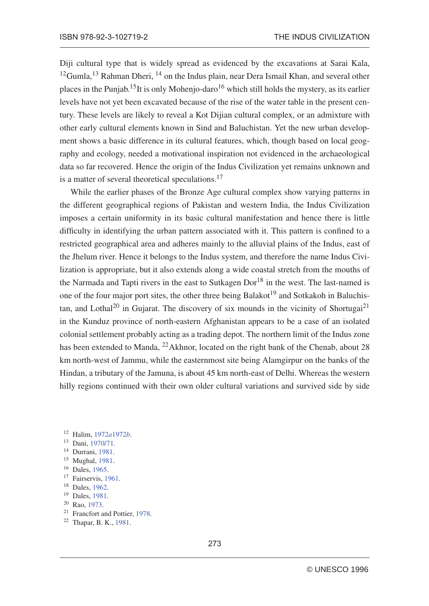Diji cultural type that is widely spread as evidenced by the excavations at Sarai Kala,  $12$ Gumla,  $13$  Rahman Dheri,  $14$  on the Indus plain, near Dera Ismail Khan, and several other places in the Punjab.<sup>15</sup>It is only Mohenjo-daro<sup>16</sup> which still holds the mystery, as its earlier levels have not yet been excavated because of the rise of the water table in the present century. These levels are likely to reveal a Kot Dijian cultural complex, or an admixture with other early cultural elements known in Sind and Baluchistan. Yet the new urban development shows a basic difference in its cultural features, which, though based on local geography and ecology, needed a motivational inspiration not evidenced in the archaeological data so far recovered. Hence the origin of the Indus Civilization yet remains unknown and is a matter of several theoretical speculations.<sup>17</sup>

While the earlier phases of the Bronze Age cultural complex show varying patterns in the different geographical regions of Pakistan and western India, the Indus Civilization imposes a certain uniformity in its basic cultural manifestation and hence there is little difficulty in identifying the urban pattern associated with it. This pattern is confined to a restricted geographical area and adheres mainly to the alluvial plains of the Indus, east of the Jhelum river. Hence it belongs to the Indus system, and therefore the name Indus Civilization is appropriate, but it also extends along a wide coastal stretch from the mouths of the Narmada and Tapti rivers in the east to Sutkagen  $Dor<sup>18</sup>$  in the west. The last-named is one of the four major port sites, the other three being Balakot<sup>19</sup> and Sotkakoh in Baluchistan, and Lothal<sup>20</sup> in Gujarat. The discovery of six mounds in the vicinity of Shortugai<sup>21</sup> in the Kunduz province of north-eastern Afghanistan appears to be a case of an isolated colonial settlement probably acting as a trading depot. The northern limit of the Indus zone has been extended to Manda, <sup>22</sup>Akhnor, located on the right bank of the Chenab, about 28 km north-west of Jammu, while the easternmost site being Alamgirpur on the banks of the Hindan, a tributary of the Jamuna, is about 45 km north-east of Delhi. Whereas the western hilly regions continued with their own older cultural variations and survived side by side

- <sup>21</sup> Francfort and Pottier, 1978.
- <sup>22</sup> Thapar, B. K., 1981.

<sup>12</sup> Halim, 1972*a*1972*b*.

<sup>13</sup> Dani, 1970/71.

<sup>14</sup> Durrani, 1981.

<sup>15</sup> Mughal, 1981.

<sup>16</sup> Dales, 1965.

<sup>&</sup>lt;sup>17</sup> Fairservis, 1961.

<sup>18</sup> Dales, 1962.

<sup>19</sup> Dales, 1981.

<sup>20</sup> Rao, 1973.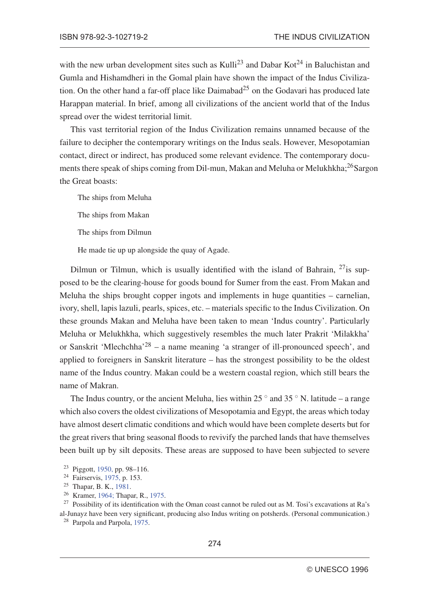with the new urban development sites such as Kulli<sup>23</sup> and Dabar Kot<sup>24</sup> in Baluchistan and Gumla and Hishamdheri in the Gomal plain have shown the impact of the Indus Civilization. On the other hand a far-off place like  $Daimabad<sup>25</sup>$  on the Godavari has produced late Harappan material. In brief, among all civilizations of the ancient world that of the Indus spread over the widest territorial limit.

This vast territorial region of the Indus Civilization remains unnamed because of the failure to decipher the contemporary writings on the Indus seals. However, Mesopotamian contact, direct or indirect, has produced some relevant evidence. The contemporary documents there speak of ships coming from Dil-mun, Makan and Meluha or Melukhkha;<sup>26</sup>Sargon the Great boasts:

The ships from Meluha The ships from Makan The ships from Dilmun He made tie up up alongside the quay of Agade.

Dilmun or Tilmun, which is usually identified with the island of Bahrain,  $27$  is supposed to be the clearing-house for goods bound for Sumer from the east. From Makan and Meluha the ships brought copper ingots and implements in huge quantities – carnelian, ivory, shell, lapis lazuli, pearls, spices, etc. – materials specific to the Indus Civilization. On these grounds Makan and Meluha have been taken to mean 'Indus country'. Particularly Meluha or Melukhkha, which suggestively resembles the much later Prakrit 'Milakkha' or Sanskrit 'Mlechchha'<sup>28</sup> – a name meaning 'a stranger of ill-pronounced speech', and applied to foreigners in Sanskrit literature – has the strongest possibility to be the oldest name of the Indus country. Makan could be a western coastal region, which still bears the name of Makran.

The Indus country, or the ancient Meluha, lies within 25  $\degree$  and 35  $\degree$  N. latitude – a range which also covers the oldest civilizations of Mesopotamia and Egypt, the areas which today have almost desert climatic conditions and which would have been complete deserts but for the great rivers that bring seasonal floods to revivify the parched lands that have themselves been built up by silt deposits. These areas are supposed to have been subjected to severe

<sup>26</sup> Kramer, 1964; Thapar, R., 1975.

<sup>27</sup> Possibility of its identification with the Oman coast cannot be ruled out as M. Tosi's excavations at Ra's al-Junayz have been very significant, producing also Indus writing on potsherds. (Personal communication.)

<sup>28</sup> Parpola and Parpola, 1975.

<sup>23</sup> Piggott, 1950, pp. 98–116.

<sup>24</sup> Fairservis, 1975, p. 153.

<sup>&</sup>lt;sup>25</sup> Thapar, B. K., 1981.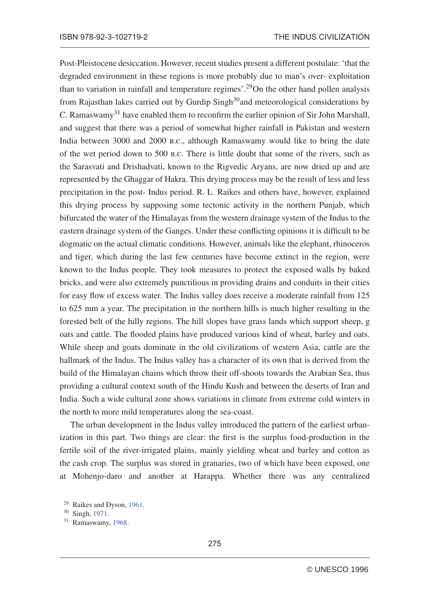Post-Pleistocene desiccation. However, recent studies present a different postulate: 'that the degraded environment in these regions is more probably due to man's over- exploitation than to variation in rainfall and temperature regimes'.29On the other hand pollen analysis from Rajasthan lakes carried out by Gurdip Singh<sup>30</sup>and meteorological considerations by C. Ramaswamy<sup>31</sup> have enabled them to reconfirm the earlier opinion of Sir John Marshall, and suggest that there was a period of somewhat higher rainfall in Pakistan and western India between 3000 and 2000 b.c., although Ramaswamy would like to bring the date of the wet period down to 500 b.c. There is little doubt that some of the rivers, such as the Sarasvati and Drishadvati, known to the Rigvedic Aryans, are now dried up and are represented by the Ghaggar of Hakra. This drying process may be the result of less and less precipitation in the post- Indus period. R. L. Raikes and others have, however, explained this drying process by supposing some tectonic activity in the northern Punjab, which bifurcated the water of the Himalayas from the western drainage system of the Indus to the eastern drainage system of the Ganges. Under these conflicting opinions it is difficult to be dogmatic on the actual climatic conditions. However, animals like the elephant, rhinoceros and tiger, which during the last few centuries have become extinct in the region, were known to the Indus people. They took measures to protect the exposed walls by baked bricks, and were also extremely punctilious in providing drains and conduits in their cities for easy flow of excess water. The Indus valley does receive a moderate rainfall from 125 to 625 mm a year. The precipitation in the northern hills is much higher resulting in the forested belt of the hilly regions. The hill slopes have grass lands which support sheep, g oats and cattle. The flooded plains have produced various kind of wheat, barley and oats. While sheep and goats dominate in the old civilizations of western Asia, cattle are the hallmark of the Indus. The Indus valley has a character of its own that is derived from the build of the Himalayan chains which throw their off-shoots towards the Arabian Sea, thus providing a cultural context south of the Hindu Kush and between the deserts of Iran and India. Such a wide cultural zone shows variations in climate from extreme cold winters in the north to more mild temperatures along the sea-coast.

The urban development in the Indus valley introduced the pattern of the earliest urbanization in this part. Two things are clear: the first is the surplus food-production in the fertile soil of the river-irrigated plains, mainly yielding wheat and barley and cotton as the cash crop. The surplus was stored in granaries, two of which have been exposed, one at Mohenjo-daro and another at Harappa. Whether there was any centralized

<sup>29</sup> Raikes and Dyson, 1961.

<sup>30</sup> Singh, 1971.

<sup>31</sup> Ramaswamy, 1968.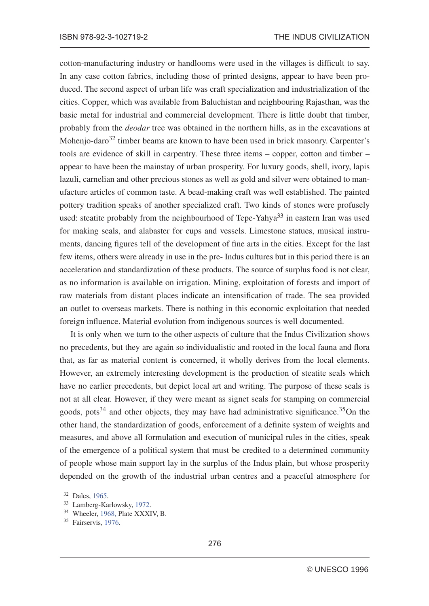cotton-manufacturing industry or handlooms were used in the villages is difficult to say. In any case cotton fabrics, including those of printed designs, appear to have been produced. The second aspect of urban life was craft specialization and industrialization of the cities. Copper, which was available from Baluchistan and neighbouring Rajasthan, was the basic metal for industrial and commercial development. There is little doubt that timber, probably from the *deodar* tree was obtained in the northern hills, as in the excavations at Mohenjo-daro $32$  timber beams are known to have been used in brick masonry. Carpenter's tools are evidence of skill in carpentry. These three items – copper, cotton and timber – appear to have been the mainstay of urban prosperity. For luxury goods, shell, ivory, lapis lazuli, carnelian and other precious stones as well as gold and silver were obtained to manufacture articles of common taste. A bead-making craft was well established. The painted pottery tradition speaks of another specialized craft. Two kinds of stones were profusely used: steatite probably from the neighbourhood of Tepe-Yahya<sup>33</sup> in eastern Iran was used for making seals, and alabaster for cups and vessels. Limestone statues, musical instruments, dancing figures tell of the development of fine arts in the cities. Except for the last few items, others were already in use in the pre- Indus cultures but in this period there is an acceleration and standardization of these products. The source of surplus food is not clear, as no information is available on irrigation. Mining, exploitation of forests and import of raw materials from distant places indicate an intensification of trade. The sea provided an outlet to overseas markets. There is nothing in this economic exploitation that needed foreign influence. Material evolution from indigenous sources is well documented.

It is only when we turn to the other aspects of culture that the Indus Civilization shows no precedents, but they are again so individualistic and rooted in the local fauna and flora that, as far as material content is concerned, it wholly derives from the local elements. However, an extremely interesting development is the production of steatite seals which have no earlier precedents, but depict local art and writing. The purpose of these seals is not at all clear. However, if they were meant as signet seals for stamping on commercial goods, pots<sup>34</sup> and other objects, they may have had administrative significance.<sup>35</sup>On the other hand, the standardization of goods, enforcement of a definite system of weights and measures, and above all formulation and execution of municipal rules in the cities, speak of the emergence of a political system that must be credited to a determined community of people whose main support lay in the surplus of the Indus plain, but whose prosperity depended on the growth of the industrial urban centres and a peaceful atmosphere for

<sup>32</sup> Dales, 1965.

<sup>33</sup> Lamberg-Karlowsky, 1972.

<sup>&</sup>lt;sup>34</sup> Wheeler, 1968, Plate XXXIV, B.

<sup>35</sup> Fairservis, 1976.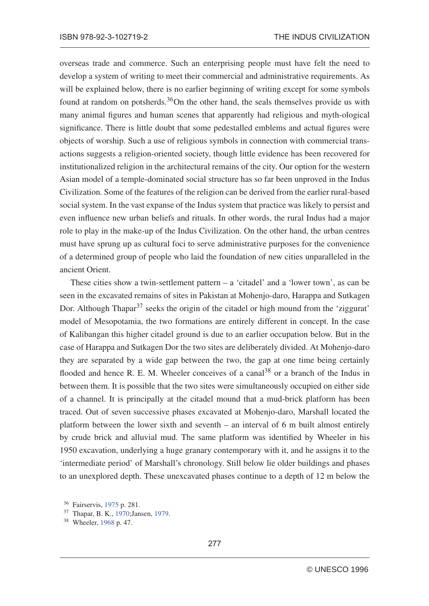overseas trade and commerce. Such an enterprising people must have felt the need to develop a system of writing to meet their commercial and administrative requirements. As will be explained below, there is no earlier beginning of writing except for some symbols found at random on potsherds.<sup>36</sup>On the other hand, the seals themselves provide us with many animal figures and human scenes that apparently had religious and myth-ological significance. There is little doubt that some pedestalled emblems and actual figures were objects of worship. Such a use of religious symbols in connection with commercial transactions suggests a religion-oriented society, though little evidence has been recovered for institutionalized religion in the architectural remains of the city. Our option for the western Asian model of a temple-dominated social structure has so far been unproved in the Indus Civilization. Some of the features of the religion can be derived from the earlier rural-based social system. In the vast expanse of the Indus system that practice was likely to persist and even influence new urban beliefs and rituals. In other words, the rural Indus had a major role to play in the make-up of the Indus Civilization. On the other hand, the urban centres must have sprung up as cultural foci to serve administrative purposes for the convenience of a determined group of people who laid the foundation of new cities unparalleled in the ancient Orient.

These cities show a twin-settlement pattern  $-$  a 'citadel' and a 'lower town', as can be seen in the excavated remains of sites in Pakistan at Mohenjo-daro, Harappa and Sutkagen Dor. Although Thapar<sup>37</sup> seeks the origin of the citadel or high mound from the 'ziggurat' model of Mesopotamia, the two formations are entirely different in concept. In the case of Kalibangan this higher citadel ground is due to an earlier occupation below. But in the case of Harappa and Sutkagen Dor the two sites are deliberately divided. At Mohenjo-daro they are separated by a wide gap between the two, the gap at one time being certainly flooded and hence R. E. M. Wheeler conceives of a canal<sup>38</sup> or a branch of the Indus in between them. It is possible that the two sites were simultaneously occupied on either side of a channel. It is principally at the citadel mound that a mud-brick platform has been traced. Out of seven successive phases excavated at Mohenjo-daro, Marshall located the platform between the lower sixth and seventh – an interval of 6 m built almost entirely by crude brick and alluvial mud. The same platform was identified by Wheeler in his 1950 excavation, underlying a huge granary contemporary with it, and he assigns it to the 'intermediate period' of Marshall's chronology. Still below lie older buildings and phases to an unexplored depth. These unexcavated phases continue to a depth of 12 m below the

<sup>36</sup> Fairservis, 1975 p. 281.

<sup>37</sup> Thapar, B. K., 1970;Jansen, 1979.

<sup>38</sup> Wheeler, 1968 p. 47.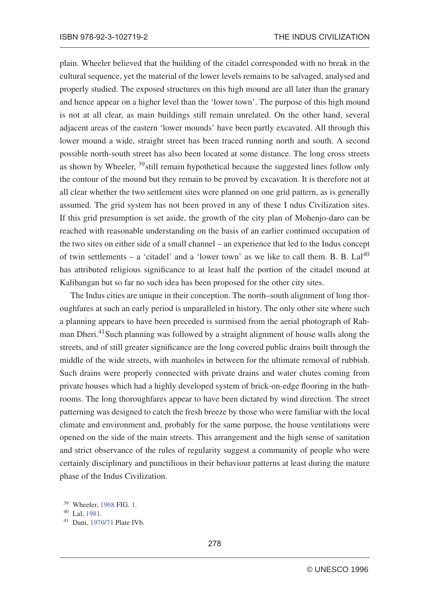plain. Wheeler believed that the building of the citadel corresponded with no break in the cultural sequence, yet the material of the lower levels remains to be salvaged, analysed and properly studied. The exposed structures on this high mound are all later than the granary and hence appear on a higher level than the 'lower town'. The purpose of this high mound is not at all clear, as main buildings still remain unrelated. On the other hand, several adjacent areas of the eastern 'lower mounds' have been partly excavated. All through this lower mound a wide, straight street has been traced running north and south. A second possible north-south street has also been located at some distance. The long cross streets as shown by Wheeler,  $39$  still remain hypothetical because the suggested lines follow only the contour of the mound but they remain to be proved by excavation. It is therefore not at all clear whether the two settlement sites were planned on one grid pattern, as is generally assumed. The grid system has not been proved in any of these I ndus Civilization sites. If this grid presumption is set aside, the growth of the city plan of Mohenjo-daro can be reached with reasonable understanding on the basis of an earlier continued occupation of the two sites on either side of a small channel – an experience that led to the Indus concept of twin settlements – a 'citadel' and a 'lower town' as we like to call them. B. B. Lal<sup>40</sup> has attributed religious significance to at least half the portion of the citadel mound at Kalibangan but so far no such idea has been proposed for the other city sites.

The Indus cities are unique in their conception. The north–south alignment of long thoroughfares at such an early period is unparalleled in history. The only other site where such a planning appears to have been preceded is surmised from the aerial photograph of Rahman Dheri.<sup>41</sup>Such planning was followed by a straight alignment of house walls along the streets, and of still greater significance are the long covered public drains built through the middle of the wide streets, with manholes in between for the ultimate removal of rubbish. Such drains were properly connected with private drains and water chutes coming from private houses which had a highly developed system of brick-on-edge flooring in the bathrooms. The long thoroughfares appear to have been dictated by wind direction. The street patterning was designed to catch the fresh breeze by those who were familiar with the local climate and environment and, probably for the same purpose, the house ventilations were opened on the side of the main streets. This arrangement and the high sense of sanitation and strict observance of the rules of regularity suggest a community of people who were certainly disciplinary and punctilious in their behaviour patterns at least during the mature phase of the Indus Civilization.

<sup>39</sup> Wheeler, 1968 FIG. 1.

<sup>40</sup> Lal, 1981.

<sup>41</sup> Dani, 1970/71 Plate IVb.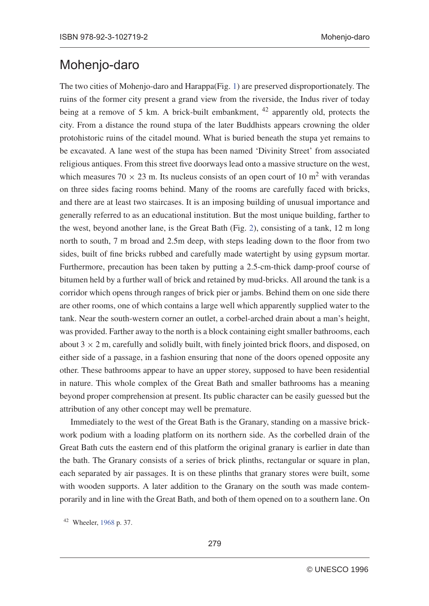### Mohenjo-daro

The two cities of Mohenjo-daro and Harappa(Fig. 1) are preserved disproportionately. The ruins of the former city present a grand view from the riverside, the Indus river of today being at a remove of 5 km. A brick-built embankment, <sup>42</sup> apparently old, protects the city. From a distance the round stupa of the later Buddhists appears crowning the older protohistoric ruins of the citadel mound. What is buried beneath the stupa yet remains to be excavated. A lane west of the stupa has been named 'Divinity Street' from associated religious antiques. From this street five doorways lead onto a massive structure on the west, which measures  $70 \times 23$  m. Its nucleus consists of an open court of 10 m<sup>2</sup> with verandas on three sides facing rooms behind. Many of the rooms are carefully faced with bricks, and there are at least two staircases. It is an imposing building of unusual importance and generally referred to as an educational institution. But the most unique building, farther to the west, beyond another lane, is the Great Bath (Fig. 2), consisting of a tank, 12 m long north to south, 7 m broad and 2.5m deep, with steps leading down to the floor from two sides, built of fine bricks rubbed and carefully made watertight by using gypsum mortar. Furthermore, precaution has been taken by putting a 2.5-cm-thick damp-proof course of bitumen held by a further wall of brick and retained by mud-bricks. All around the tank is a corridor which opens through ranges of brick pier or jambs. Behind them on one side there are other rooms, one of which contains a large well which apparently supplied water to the tank. Near the south-western corner an outlet, a corbel-arched drain about a man's height, was provided. Farther away to the north is a block containing eight smaller bathrooms, each about  $3 \times 2$  m, carefully and solidly built, with finely jointed brick floors, and disposed, on either side of a passage, in a fashion ensuring that none of the doors opened opposite any other. These bathrooms appear to have an upper storey, supposed to have been residential in nature. This whole complex of the Great Bath and smaller bathrooms has a meaning beyond proper comprehension at present. Its public character can be easily guessed but the attribution of any other concept may well be premature.

Immediately to the west of the Great Bath is the Granary, standing on a massive brickwork podium with a loading platform on its northern side. As the corbelled drain of the Great Bath cuts the eastern end of this platform the original granary is earlier in date than the bath. The Granary consists of a series of brick plinths, rectangular or square in plan, each separated by air passages. It is on these plinths that granary stores were built, some with wooden supports. A later addition to the Granary on the south was made contemporarily and in line with the Great Bath, and both of them opened on to a southern lane. On

<sup>42</sup> Wheeler, 1968 p. 37.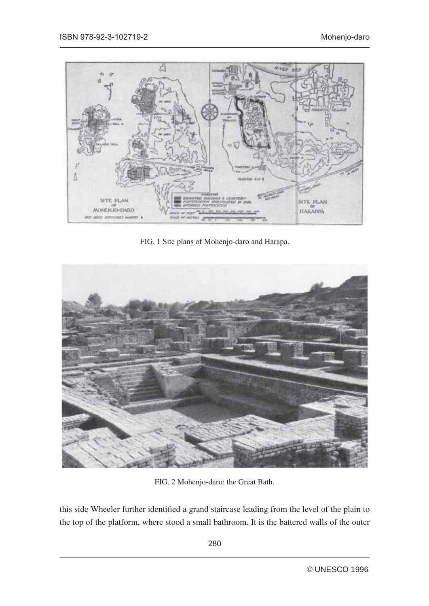

FIG. 1 Site plans of Mohenjo-daro and Harapa.



FIG. 2 Mohenjo-daro: the Great Bath.

this side Wheeler further identified a grand staircase leading from the level of the plain to the top of the platform, where stood a small bathroom. It is the battered walls of the outer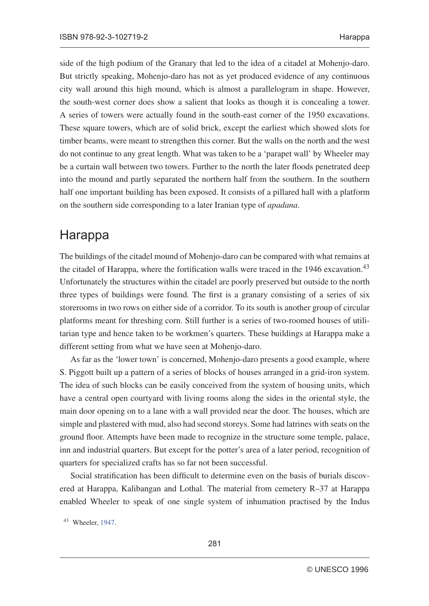side of the high podium of the Granary that led to the idea of a citadel at Mohenjo-daro. But strictly speaking, Mohenjo-daro has not as yet produced evidence of any continuous city wall around this high mound, which is almost a parallelogram in shape. However, the south-west corner does show a salient that looks as though it is concealing a tower. A series of towers were actually found in the south-east corner of the 1950 excavations. These square towers, which are of solid brick, except the earliest which showed slots for timber beams, were meant to strengthen this corner. But the walls on the north and the west do not continue to any great length. What was taken to be a 'parapet wall' by Wheeler may be a curtain wall between two towers. Further to the north the later floods penetrated deep into the mound and partly separated the northern half from the southern. In the southern half one important building has been exposed. It consists of a pillared hall with a platform on the southern side corresponding to a later Iranian type of *apadana*.

### Harappa

The buildings of the citadel mound of Mohenjo-daro can be compared with what remains at the citadel of Harappa, where the fortification walls were traced in the 1946 excavation.<sup>43</sup> Unfortunately the structures within the citadel are poorly preserved but outside to the north three types of buildings were found. The first is a granary consisting of a series of six storerooms in two rows on either side of a corridor. To its south is another group of circular platforms meant for threshing corn. Still further is a series of two-roomed houses of utilitarian type and hence taken to be workmen's quarters. These buildings at Harappa make a different setting from what we have seen at Mohenjo-daro.

As far as the 'lower town' is concerned, Mohenjo-daro presents a good example, where S. Piggott built up a pattern of a series of blocks of houses arranged in a grid-iron system. The idea of such blocks can be easily conceived from the system of housing units, which have a central open courtyard with living rooms along the sides in the oriental style, the main door opening on to a lane with a wall provided near the door. The houses, which are simple and plastered with mud, also had second storeys. Some had latrines with seats on the ground floor. Attempts have been made to recognize in the structure some temple, palace, inn and industrial quarters. But except for the potter's area of a later period, recognition of quarters for specialized crafts has so far not been successful.

Social stratification has been difficult to determine even on the basis of burials discovered at Harappa, Kalibangan and Lothal. The material from cemetery R–37 at Harappa enabled Wheeler to speak of one single system of inhumation practised by the Indus

<sup>43</sup> Wheeler, 1947.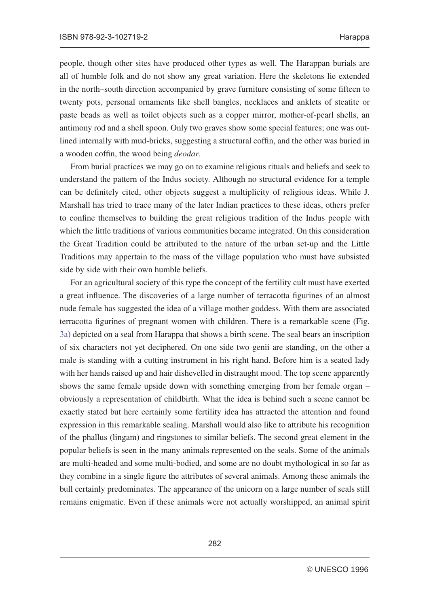people, though other sites have produced other types as well. The Harappan burials are all of humble folk and do not show any great variation. Here the skeletons lie extended in the north–south direction accompanied by grave furniture consisting of some fifteen to twenty pots, personal ornaments like shell bangles, necklaces and anklets of steatite or paste beads as well as toilet objects such as a copper mirror, mother-of-pearl shells, an antimony rod and a shell spoon. Only two graves show some special features; one was outlined internally with mud-bricks, suggesting a structural coffin, and the other was buried in a wooden coffin, the wood being *deodar*.

From burial practices we may go on to examine religious rituals and beliefs and seek to understand the pattern of the Indus society. Although no structural evidence for a temple can be definitely cited, other objects suggest a multiplicity of religious ideas. While J. Marshall has tried to trace many of the later Indian practices to these ideas, others prefer to confine themselves to building the great religious tradition of the Indus people with which the little traditions of various communities became integrated. On this consideration the Great Tradition could be attributed to the nature of the urban set-up and the Little Traditions may appertain to the mass of the village population who must have subsisted side by side with their own humble beliefs.

For an agricultural society of this type the concept of the fertility cult must have exerted a great influence. The discoveries of a large number of terracotta figurines of an almost nude female has suggested the idea of a village mother goddess. With them are associated terracotta figurines of pregnant women with children. There is a remarkable scene (Fig. 3a) depicted on a seal from Harappa that shows a birth scene. The seal bears an inscription of six characters not yet deciphered. On one side two genii are standing, on the other a male is standing with a cutting instrument in his right hand. Before him is a seated lady with her hands raised up and hair dishevelled in distraught mood. The top scene apparently shows the same female upside down with something emerging from her female organ – obviously a representation of childbirth. What the idea is behind such a scene cannot be exactly stated but here certainly some fertility idea has attracted the attention and found expression in this remarkable sealing. Marshall would also like to attribute his recognition of the phallus (lingam) and ringstones to similar beliefs. The second great element in the popular beliefs is seen in the many animals represented on the seals. Some of the animals are multi-headed and some multi-bodied, and some are no doubt mythological in so far as they combine in a single figure the attributes of several animals. Among these animals the bull certainly predominates. The appearance of the unicorn on a large number of seals still remains enigmatic. Even if these animals were not actually worshipped, an animal spirit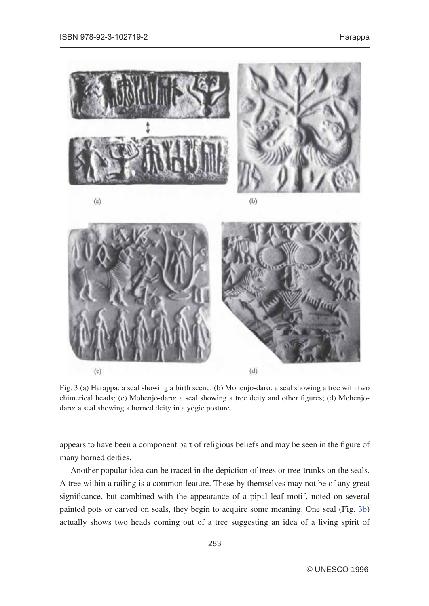

Fig. 3 (a) Harappa: a seal showing a birth scene; (b) Mohenjo-daro: a seal showing a tree with two chimerical heads; (c) Mohenjo-daro: a seal showing a tree deity and other figures; (d) Mohenjodaro: a seal showing a horned deity in a yogic posture.

appears to have been a component part of religious beliefs and may be seen in the figure of many horned deities.

Another popular idea can be traced in the depiction of trees or tree-trunks on the seals. A tree within a railing is a common feature. These by themselves may not be of any great significance, but combined with the appearance of a pipal leaf motif, noted on several painted pots or carved on seals, they begin to acquire some meaning. One seal (Fig. 3b) actually shows two heads coming out of a tree suggesting an idea of a living spirit of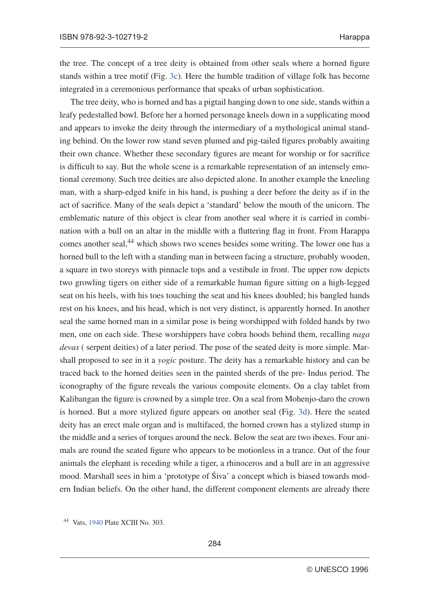the tree. The concept of a tree deity is obtained from other seals where a horned figure stands within a tree motif (Fig. 3c). Here the humble tradition of village folk has become integrated in a ceremonious performance that speaks of urban sophistication.

The tree deity, who is horned and has a pigtail hanging down to one side, stands within a leafy pedestalled bowl. Before her a horned personage kneels down in a supplicating mood and appears to invoke the deity through the intermediary of a mythological animal standing behind. On the lower row stand seven plumed and pig-tailed figures probably awaiting their own chance. Whether these secondary figures are meant for worship or for sacrifice is difficult to say. But the whole scene is a remarkable representation of an intensely emotional ceremony. Such tree deities are also depicted alone. In another example the kneeling man, with a sharp-edged knife in his hand, is pushing a deer before the deity as if in the act of sacrifice. Many of the seals depict a 'standard' below the mouth of the unicorn. The emblematic nature of this object is clear from another seal where it is carried in combination with a bull on an altar in the middle with a fluttering flag in front. From Harappa comes another seal,<sup>44</sup> which shows two scenes besides some writing. The lower one has a horned bull to the left with a standing man in between facing a structure, probably wooden, a square in two storeys with pinnacle tops and a vestibule in front. The upper row depicts two growling tigers on either side of a remarkable human figure sitting on a high-legged seat on his heels, with his toes touching the seat and his knees doubled; his bangled hands rest on his knees, and his head, which is not very distinct, is apparently horned. In another seal the same horned man in a similar pose is being worshipped with folded hands by two men, one on each side. These worshippers have cobra hoods behind them, recalling *naga devas* ( serpent deities) of a later period. The pose of the seated deity is more simple. Marshall proposed to see in it a *yogic* posture. The deity has a remarkable history and can be traced back to the horned deities seen in the painted sherds of the pre- Indus period. The iconography of the figure reveals the various composite elements. On a clay tablet from Kalibangan the figure is crowned by a simple tree. On a seal from Mohenjo-daro the crown is horned. But a more stylized figure appears on another seal (Fig. 3d). Here the seated deity has an erect male organ and is multifaced, the horned crown has a stylized stump in the middle and a series of torques around the neck. Below the seat are two ibexes. Four animals are round the seated figure who appears to be motionless in a trance. Out of the four animals the elephant is receding while a tiger, a rhinoceros and a bull are in an aggressive mood. Marshall sees in him a 'prototype of Siva' a concept which is biased towards modern Indian beliefs. On the other hand, the different component elements are already there

<sup>44</sup> Vats, 1940 Plate XCIII No. 303.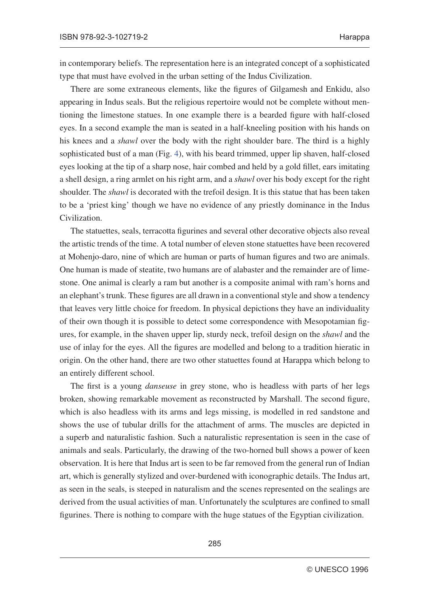in contemporary beliefs. The representation here is an integrated concept of a sophisticated type that must have evolved in the urban setting of the Indus Civilization.

There are some extraneous elements, like the figures of Gilgamesh and Enkidu, also appearing in Indus seals. But the religious repertoire would not be complete without mentioning the limestone statues. In one example there is a bearded figure with half-closed eyes. In a second example the man is seated in a half-kneeling position with his hands on his knees and a *shawl* over the body with the right shoulder bare. The third is a highly sophisticated bust of a man (Fig. 4), with his beard trimmed, upper lip shaven, half-closed eyes looking at the tip of a sharp nose, hair combed and held by a gold fillet, ears imitating a shell design, a ring armlet on his right arm, and a *shawl* over his body except for the right shoulder. The *shawl* is decorated with the trefoil design. It is this statue that has been taken to be a 'priest king' though we have no evidence of any priestly dominance in the Indus Civilization.

The statuettes, seals, terracotta figurines and several other decorative objects also reveal the artistic trends of the time. A total number of eleven stone statuettes have been recovered at Mohenjo-daro, nine of which are human or parts of human figures and two are animals. One human is made of steatite, two humans are of alabaster and the remainder are of limestone. One animal is clearly a ram but another is a composite animal with ram's horns and an elephant's trunk. These figures are all drawn in a conventional style and show a tendency that leaves very little choice for freedom. In physical depictions they have an individuality of their own though it is possible to detect some correspondence with Mesopotamian figures, for example, in the shaven upper lip, sturdy neck, trefoil design on the *shawl* and the use of inlay for the eyes. All the figures are modelled and belong to a tradition hieratic in origin. On the other hand, there are two other statuettes found at Harappa which belong to an entirely different school.

The first is a young *danseuse* in grey stone, who is headless with parts of her legs broken, showing remarkable movement as reconstructed by Marshall. The second figure, which is also headless with its arms and legs missing, is modelled in red sandstone and shows the use of tubular drills for the attachment of arms. The muscles are depicted in a superb and naturalistic fashion. Such a naturalistic representation is seen in the case of animals and seals. Particularly, the drawing of the two-horned bull shows a power of keen observation. It is here that Indus art is seen to be far removed from the general run of Indian art, which is generally stylized and over-burdened with iconographic details. The Indus art, as seen in the seals, is steeped in naturalism and the scenes represented on the sealings are derived from the usual activities of man. Unfortunately the sculptures are confined to small figurines. There is nothing to compare with the huge statues of the Egyptian civilization.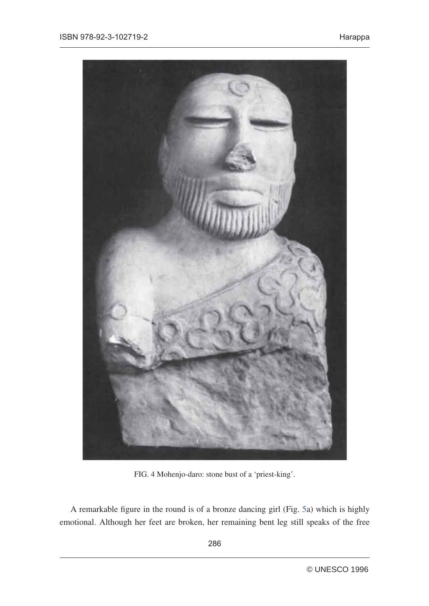

FIG. 4 Mohenjo-daro: stone bust of a 'priest-king'.

A remarkable figure in the round is of a bronze dancing girl (Fig. 5a) which is highly emotional. Although her feet are broken, her remaining bent leg still speaks of the free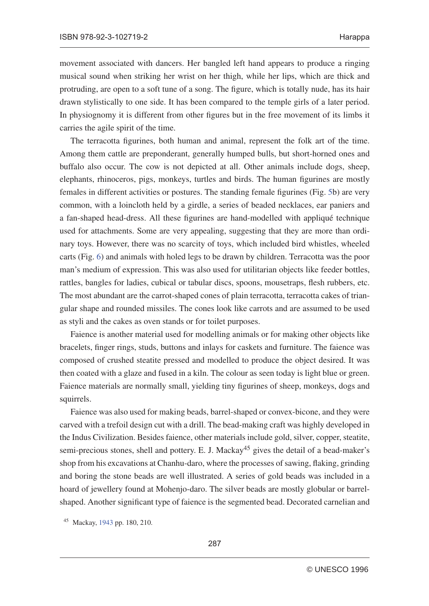movement associated with dancers. Her bangled left hand appears to produce a ringing musical sound when striking her wrist on her thigh, while her lips, which are thick and protruding, are open to a soft tune of a song. The figure, which is totally nude, has its hair drawn stylistically to one side. It has been compared to the temple girls of a later period. In physiognomy it is different from other figures but in the free movement of its limbs it carries the agile spirit of the time.

The terracotta figurines, both human and animal, represent the folk art of the time. Among them cattle are preponderant, generally humped bulls, but short-horned ones and buffalo also occur. The cow is not depicted at all. Other animals include dogs, sheep, elephants, rhinoceros, pigs, monkeys, turtles and birds. The human figurines are mostly females in different activities or postures. The standing female figurines (Fig. 5b) are very common, with a loincloth held by a girdle, a series of beaded necklaces, ear paniers and a fan-shaped head-dress. All these figurines are hand-modelled with appliqué technique used for attachments. Some are very appealing, suggesting that they are more than ordinary toys. However, there was no scarcity of toys, which included bird whistles, wheeled carts (Fig. 6) and animals with holed legs to be drawn by children. Terracotta was the poor man's medium of expression. This was also used for utilitarian objects like feeder bottles, rattles, bangles for ladies, cubical or tabular discs, spoons, mousetraps, flesh rubbers, etc. The most abundant are the carrot-shaped cones of plain terracotta, terracotta cakes of triangular shape and rounded missiles. The cones look like carrots and are assumed to be used as styli and the cakes as oven stands or for toilet purposes.

Faience is another material used for modelling animals or for making other objects like bracelets, finger rings, studs, buttons and inlays for caskets and furniture. The faience was composed of crushed steatite pressed and modelled to produce the object desired. It was then coated with a glaze and fused in a kiln. The colour as seen today is light blue or green. Faience materials are normally small, yielding tiny figurines of sheep, monkeys, dogs and squirrels.

Faience was also used for making beads, barrel-shaped or convex-bicone, and they were carved with a trefoil design cut with a drill. The bead-making craft was highly developed in the Indus Civilization. Besides faience, other materials include gold, silver, copper, steatite, semi-precious stones, shell and pottery. E. J. Mackay<sup>45</sup> gives the detail of a bead-maker's shop from his excavations at Chanhu-daro, where the processes of sawing, flaking, grinding and boring the stone beads are well illustrated. A series of gold beads was included in a hoard of jewellery found at Mohenjo-daro. The silver beads are mostly globular or barrelshaped. Another significant type of faience is the segmented bead. Decorated carnelian and

<sup>45</sup> Mackay, 1943 pp. 180, 210.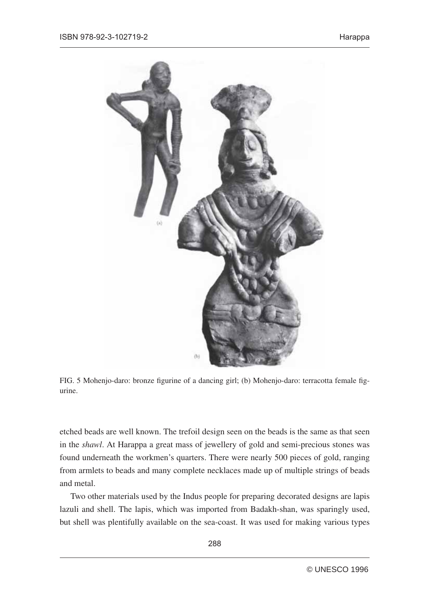



etched beads are well known. The trefoil design seen on the beads is the same as that seen in the *shawl*. At Harappa a great mass of jewellery of gold and semi-precious stones was found underneath the workmen's quarters. There were nearly 500 pieces of gold, ranging from armlets to beads and many complete necklaces made up of multiple strings of beads and metal.

Two other materials used by the Indus people for preparing decorated designs are lapis lazuli and shell. The lapis, which was imported from Badakh-shan, was sparingly used, but shell was plentifully available on the sea-coast. It was used for making various types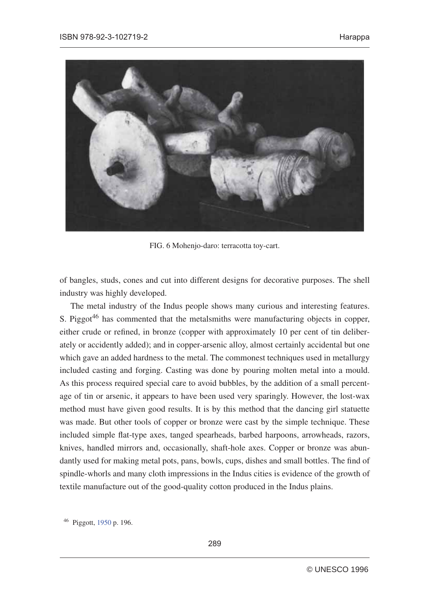

FIG. 6 Mohenjo-daro: terracotta toy-cart.

of bangles, studs, cones and cut into different designs for decorative purposes. The shell industry was highly developed.

The metal industry of the Indus people shows many curious and interesting features. S. Piggot<sup>46</sup> has commented that the metalsmiths were manufacturing objects in copper, either crude or refined, in bronze (copper with approximately 10 per cent of tin deliberately or accidently added); and in copper-arsenic alloy, almost certainly accidental but one which gave an added hardness to the metal. The commonest techniques used in metallurgy included casting and forging. Casting was done by pouring molten metal into a mould. As this process required special care to avoid bubbles, by the addition of a small percentage of tin or arsenic, it appears to have been used very sparingly. However, the lost-wax method must have given good results. It is by this method that the dancing girl statuette was made. But other tools of copper or bronze were cast by the simple technique. These included simple flat-type axes, tanged spearheads, barbed harpoons, arrowheads, razors, knives, handled mirrors and, occasionally, shaft-hole axes. Copper or bronze was abundantly used for making metal pots, pans, bowls, cups, dishes and small bottles. The find of spindle-whorls and many cloth impressions in the Indus cities is evidence of the growth of textile manufacture out of the good-quality cotton produced in the Indus plains.

<sup>46</sup> Piggott, 1950 p. 196.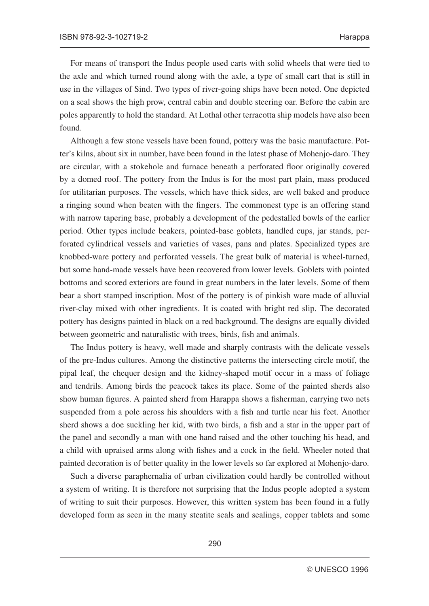For means of transport the Indus people used carts with solid wheels that were tied to the axle and which turned round along with the axle, a type of small cart that is still in use in the villages of Sind. Two types of river-going ships have been noted. One depicted on a seal shows the high prow, central cabin and double steering oar. Before the cabin are poles apparently to hold the standard. At Lothal other terracotta ship models have also been found.

Although a few stone vessels have been found, pottery was the basic manufacture. Potter's kilns, about six in number, have been found in the latest phase of Mohenjo-daro. They are circular, with a stokehole and furnace beneath a perforated floor originally covered by a domed roof. The pottery from the Indus is for the most part plain, mass produced for utilitarian purposes. The vessels, which have thick sides, are well baked and produce a ringing sound when beaten with the fingers. The commonest type is an offering stand with narrow tapering base, probably a development of the pedestalled bowls of the earlier period. Other types include beakers, pointed-base goblets, handled cups, jar stands, perforated cylindrical vessels and varieties of vases, pans and plates. Specialized types are knobbed-ware pottery and perforated vessels. The great bulk of material is wheel-turned, but some hand-made vessels have been recovered from lower levels. Goblets with pointed bottoms and scored exteriors are found in great numbers in the later levels. Some of them bear a short stamped inscription. Most of the pottery is of pinkish ware made of alluvial river-clay mixed with other ingredients. It is coated with bright red slip. The decorated pottery has designs painted in black on a red background. The designs are equally divided between geometric and naturalistic with trees, birds, fish and animals.

The Indus pottery is heavy, well made and sharply contrasts with the delicate vessels of the pre-Indus cultures. Among the distinctive patterns the intersecting circle motif, the pipal leaf, the chequer design and the kidney-shaped motif occur in a mass of foliage and tendrils. Among birds the peacock takes its place. Some of the painted sherds also show human figures. A painted sherd from Harappa shows a fisherman, carrying two nets suspended from a pole across his shoulders with a fish and turtle near his feet. Another sherd shows a doe suckling her kid, with two birds, a fish and a star in the upper part of the panel and secondly a man with one hand raised and the other touching his head, and a child with upraised arms along with fishes and a cock in the field. Wheeler noted that painted decoration is of better quality in the lower levels so far explored at Mohenjo-daro.

Such a diverse paraphernalia of urban civilization could hardly be controlled without a system of writing. It is therefore not surprising that the Indus people adopted a system of writing to suit their purposes. However, this written system has been found in a fully developed form as seen in the many steatite seals and sealings, copper tablets and some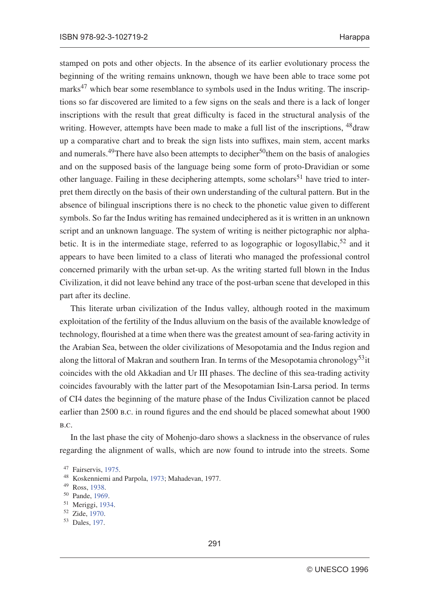stamped on pots and other objects. In the absence of its earlier evolutionary process the beginning of the writing remains unknown, though we have been able to trace some pot marks<sup>47</sup> which bear some resemblance to symbols used in the Indus writing. The inscriptions so far discovered are limited to a few signs on the seals and there is a lack of longer inscriptions with the result that great difficulty is faced in the structural analysis of the writing. However, attempts have been made to make a full list of the inscriptions, <sup>48</sup>draw up a comparative chart and to break the sign lists into suffixes, main stem, accent marks and numerals.<sup>49</sup>There have also been attempts to decipher<sup>50</sup>them on the basis of analogies and on the supposed basis of the language being some form of proto-Dravidian or some other language. Failing in these deciphering attempts, some scholars<sup>51</sup> have tried to interpret them directly on the basis of their own understanding of the cultural pattern. But in the absence of bilingual inscriptions there is no check to the phonetic value given to different symbols. So far the Indus writing has remained undeciphered as it is written in an unknown script and an unknown language. The system of writing is neither pictographic nor alphabetic. It is in the intermediate stage, referred to as logographic or logosyllabic,<sup>52</sup> and it appears to have been limited to a class of literati who managed the professional control concerned primarily with the urban set-up. As the writing started full blown in the Indus Civilization, it did not leave behind any trace of the post-urban scene that developed in this part after its decline.

This literate urban civilization of the Indus valley, although rooted in the maximum exploitation of the fertility of the Indus alluvium on the basis of the available knowledge of technology, flourished at a time when there was the greatest amount of sea-faring activity in the Arabian Sea, between the older civilizations of Mesopotamia and the Indus region and along the littoral of Makran and southern Iran. In terms of the Mesopotamia chronology<sup>53</sup>it coincides with the old Akkadian and Ur III phases. The decline of this sea-trading activity coincides favourably with the latter part of the Mesopotamian Isin-Larsa period. In terms of CI4 dates the beginning of the mature phase of the Indus Civilization cannot be placed earlier than 2500 b.c. in round figures and the end should be placed somewhat about 1900 b.c.

In the last phase the city of Mohenjo-daro shows a slackness in the observance of rules regarding the alignment of walls, which are now found to intrude into the streets. Some

<sup>47</sup> Fairservis, 1975.

<sup>48</sup> Koskenniemi and Parpola, 1973; Mahadevan, 1977.

<sup>49</sup> Ross, 1938.

<sup>50</sup> Pande, 1969.

<sup>51</sup> Meriggi, 1934.

<sup>52</sup> Zide, 1970.

<sup>53</sup> Dales, 197.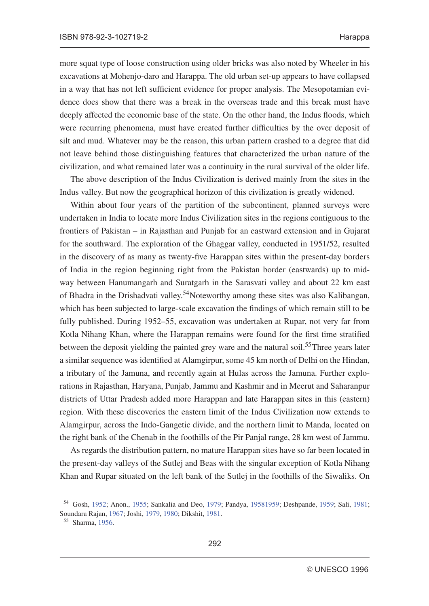more squat type of loose construction using older bricks was also noted by Wheeler in his excavations at Mohenjo-daro and Harappa. The old urban set-up appears to have collapsed in a way that has not left sufficient evidence for proper analysis. The Mesopotamian evidence does show that there was a break in the overseas trade and this break must have deeply affected the economic base of the state. On the other hand, the Indus floods, which were recurring phenomena, must have created further difficulties by the over deposit of silt and mud. Whatever may be the reason, this urban pattern crashed to a degree that did not leave behind those distinguishing features that characterized the urban nature of the civilization, and what remained later was a continuity in the rural survival of the older life.

The above description of the Indus Civilization is derived mainly from the sites in the Indus valley. But now the geographical horizon of this civilization is greatly widened.

Within about four years of the partition of the subcontinent, planned surveys were undertaken in India to locate more Indus Civilization sites in the regions contiguous to the frontiers of Pakistan – in Rajasthan and Punjab for an eastward extension and in Gujarat for the southward. The exploration of the Ghaggar valley, conducted in 1951/52, resulted in the discovery of as many as twenty-five Harappan sites within the present-day borders of India in the region beginning right from the Pakistan border (eastwards) up to midway between Hanumangarh and Suratgarh in the Sarasvati valley and about 22 km east of Bhadra in the Drishadvati valley.<sup>54</sup>Noteworthy among these sites was also Kalibangan, which has been subjected to large-scale excavation the findings of which remain still to be fully published. During 1952–55, excavation was undertaken at Rupar, not very far from Kotla Nihang Khan, where the Harappan remains were found for the first time stratified between the deposit yielding the painted grey ware and the natural soil.<sup>55</sup>Three years later a similar sequence was identified at Alamgirpur, some 45 km north of Delhi on the Hindan, a tributary of the Jamuna, and recently again at Hulas across the Jamuna. Further explorations in Rajasthan, Haryana, Punjab, Jammu and Kashmir and in Meerut and Saharanpur districts of Uttar Pradesh added more Harappan and late Harappan sites in this (eastern) region. With these discoveries the eastern limit of the Indus Civilization now extends to Alamgirpur, across the Indo-Gangetic divide, and the northern limit to Manda, located on the right bank of the Chenab in the foothills of the Pir Panjal range, 28 km west of Jammu.

As regards the distribution pattern, no mature Harappan sites have so far been located in the present-day valleys of the Sutlej and Beas with the singular exception of Kotla Nihang Khan and Rupar situated on the left bank of the Sutlej in the foothills of the Siwaliks. On

<sup>54</sup> Gosh, 1952; Anon., 1955; Sankalia and Deo, 1979; Pandya, 19581959; Deshpande, 1959; Sali, 1981; Soundara Rajan, 1967; Joshi, 1979, 1980; Dikshit, 1981.

<sup>55</sup> Sharma, 1956.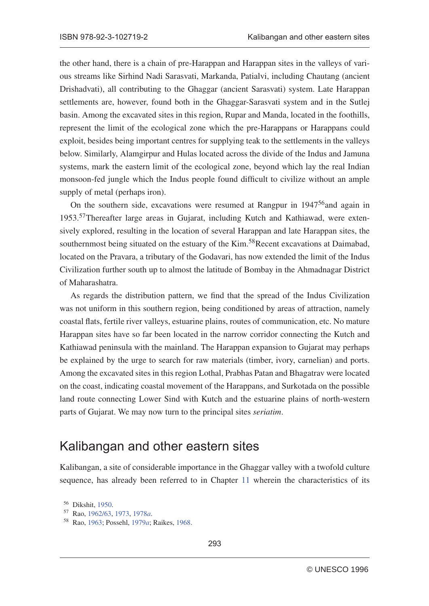the other hand, there is a chain of pre-Harappan and Harappan sites in the valleys of various streams like Sirhind Nadi Sarasvati, Markanda, Patialvi, including Chautang (ancient Drishadvati), all contributing to the Ghaggar (ancient Sarasvati) system. Late Harappan settlements are, however, found both in the Ghaggar-Sarasvati system and in the Sutlej basin. Among the excavated sites in this region, Rupar and Manda, located in the foothills, represent the limit of the ecological zone which the pre-Harappans or Harappans could exploit, besides being important centres for supplying teak to the settlements in the valleys below. Similarly, Alamgirpur and Hulas located across the divide of the Indus and Jamuna systems, mark the eastern limit of the ecological zone, beyond which lay the real Indian monsoon-fed jungle which the Indus people found difficult to civilize without an ample supply of metal (perhaps iron).

On the southern side, excavations were resumed at Rangpur in  $1947^{56}$  and again in 1953.57Thereafter large areas in Gujarat, including Kutch and Kathiawad, were extensively explored, resulting in the location of several Harappan and late Harappan sites, the southernmost being situated on the estuary of the Kim.<sup>58</sup>Recent excavations at Daimabad, located on the Pravara, a tributary of the Godavari, has now extended the limit of the Indus Civilization further south up to almost the latitude of Bombay in the Ahmadnagar District of Maharashatra.

As regards the distribution pattern, we find that the spread of the Indus Civilization was not uniform in this southern region, being conditioned by areas of attraction, namely coastal flats, fertile river valleys, estuarine plains, routes of communication, etc. No mature Harappan sites have so far been located in the narrow corridor connecting the Kutch and Kathiawad peninsula with the mainland. The Harappan expansion to Gujarat may perhaps be explained by the urge to search for raw materials (timber, ivory, carnelian) and ports. Among the excavated sites in this region Lothal, Prabhas Patan and Bhagatrav were located on the coast, indicating coastal movement of the Harappans, and Surkotada on the possible land route connecting Lower Sind with Kutch and the estuarine plains of north-western parts of Gujarat. We may now turn to the principal sites *seriatim*.

#### Kalibangan and other eastern sites

Kalibangan, a site of considerable importance in the Ghaggar valley with a twofold culture sequence, has already been referred to in Chapter 11 wherein the characteristics of its

<sup>56</sup> Dikshit, 1950.

<sup>57</sup> Rao, 1962/63, 1973, 1978*a*.

<sup>58</sup> Rao, 1963; Possehl, 1979*a*; Raikes, 1968.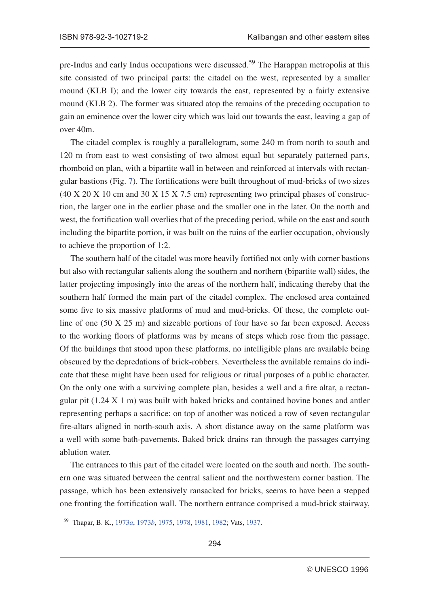pre-Indus and early Indus occupations were discussed.<sup>59</sup> The Harappan metropolis at this site consisted of two principal parts: the citadel on the west, represented by a smaller mound (KLB I); and the lower city towards the east, represented by a fairly extensive mound (KLB 2). The former was situated atop the remains of the preceding occupation to gain an eminence over the lower city which was laid out towards the east, leaving a gap of over 40m.

The citadel complex is roughly a parallelogram, some 240 m from north to south and 120 m from east to west consisting of two almost equal but separately patterned parts, rhomboid on plan, with a bipartite wall in between and reinforced at intervals with rectangular bastions (Fig. 7). The fortifications were built throughout of mud-bricks of two sizes  $(40 \text{ X } 20 \text{ X } 10 \text{ cm and } 30 \text{ X } 15 \text{ X } 7.5 \text{ cm})$  representing two principal phases of construction, the larger one in the earlier phase and the smaller one in the later. On the north and west, the fortification wall overlies that of the preceding period, while on the east and south including the bipartite portion, it was built on the ruins of the earlier occupation, obviously to achieve the proportion of 1:2.

The southern half of the citadel was more heavily fortified not only with corner bastions but also with rectangular salients along the southern and northern (bipartite wall) sides, the latter projecting imposingly into the areas of the northern half, indicating thereby that the southern half formed the main part of the citadel complex. The enclosed area contained some five to six massive platforms of mud and mud-bricks. Of these, the complete outline of one (50 X 25 m) and sizeable portions of four have so far been exposed. Access to the working floors of platforms was by means of steps which rose from the passage. Of the buildings that stood upon these platforms, no intelligible plans are available being obscured by the depredations of brick-robbers. Nevertheless the available remains do indicate that these might have been used for religious or ritual purposes of a public character. On the only one with a surviving complete plan, besides a well and a fire altar, a rectangular pit (1.24 X 1 m) was built with baked bricks and contained bovine bones and antler representing perhaps a sacrifice; on top of another was noticed a row of seven rectangular fire-altars aligned in north-south axis. A short distance away on the same platform was a well with some bath-pavements. Baked brick drains ran through the passages carrying ablution water.

The entrances to this part of the citadel were located on the south and north. The southern one was situated between the central salient and the northwestern corner bastion. The passage, which has been extensively ransacked for bricks, seems to have been a stepped one fronting the fortification wall. The northern entrance comprised a mud-brick stairway,

<sup>59</sup> Thapar, B. K., 1973*a*, 1973*b*, 1975, 1978, 1981, 1982; Vats, 1937.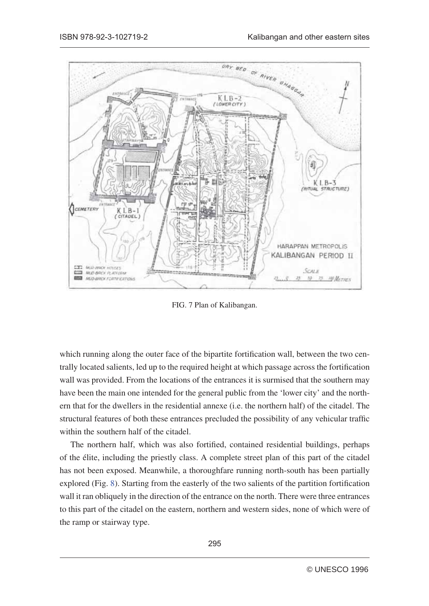

FIG. 7 Plan of Kalibangan.

which running along the outer face of the bipartite fortification wall, between the two centrally located salients, led up to the required height at which passage across the fortification wall was provided. From the locations of the entrances it is surmised that the southern may have been the main one intended for the general public from the 'lower city' and the northern that for the dwellers in the residential annexe (i.e. the northern half) of the citadel. The structural features of both these entrances precluded the possibility of any vehicular traffic within the southern half of the citadel.

The northern half, which was also fortified, contained residential buildings, perhaps of the élite, including the priestly class. A complete street plan of this part of the citadel has not been exposed. Meanwhile, a thoroughfare running north-south has been partially explored (Fig. 8). Starting from the easterly of the two salients of the partition fortification wall it ran obliquely in the direction of the entrance on the north. There were three entrances to this part of the citadel on the eastern, northern and western sides, none of which were of the ramp or stairway type.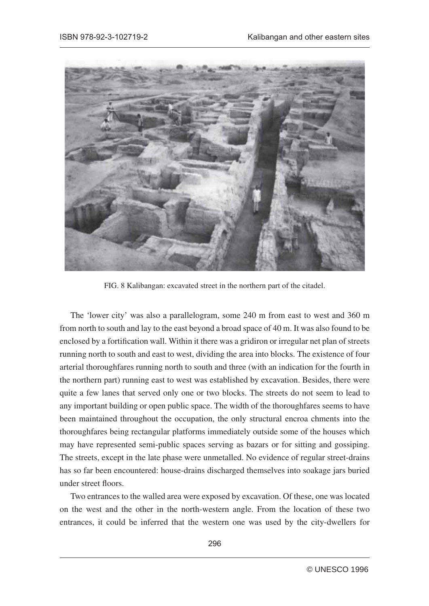

FIG. 8 Kalibangan: excavated street in the northern part of the citadel.

The 'lower city' was also a parallelogram, some 240 m from east to west and 360 m from north to south and lay to the east beyond a broad space of 40 m. It was also found to be enclosed by a fortification wall. Within it there was a gridiron or irregular net plan of streets running north to south and east to west, dividing the area into blocks. The existence of four arterial thoroughfares running north to south and three (with an indication for the fourth in the northern part) running east to west was established by excavation. Besides, there were quite a few lanes that served only one or two blocks. The streets do not seem to lead to any important building or open public space. The width of the thoroughfares seems to have been maintained throughout the occupation, the only structural encroa chments into the thoroughfares being rectangular platforms immediately outside some of the houses which may have represented semi-public spaces serving as bazars or for sitting and gossiping. The streets, except in the late phase were unmetalled. No evidence of regular street-drains has so far been encountered: house-drains discharged themselves into soakage jars buried under street floors.

Two entrances to the walled area were exposed by excavation. Of these, one was located on the west and the other in the north-western angle. From the location of these two entrances, it could be inferred that the western one was used by the city-dwellers for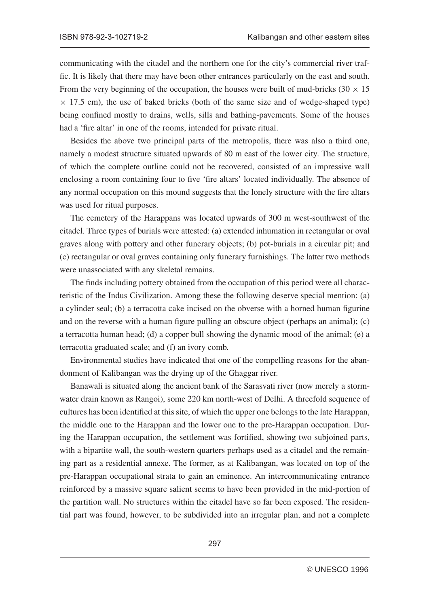communicating with the citadel and the northern one for the city's commercial river traffic. It is likely that there may have been other entrances particularly on the east and south. From the very beginning of the occupation, the houses were built of mud-bricks ( $30 \times 15$ )  $\times$  17.5 cm), the use of baked bricks (both of the same size and of wedge-shaped type) being confined mostly to drains, wells, sills and bathing-pavements. Some of the houses had a 'fire altar' in one of the rooms, intended for private ritual.

Besides the above two principal parts of the metropolis, there was also a third one, namely a modest structure situated upwards of 80 m east of the lower city. The structure, of which the complete outline could not be recovered, consisted of an impressive wall enclosing a room containing four to five 'fire altars' located individually. The absence of any normal occupation on this mound suggests that the lonely structure with the fire altars was used for ritual purposes.

The cemetery of the Harappans was located upwards of 300 m west-southwest of the citadel. Three types of burials were attested: (a) extended inhumation in rectangular or oval graves along with pottery and other funerary objects; (b) pot-burials in a circular pit; and (c) rectangular or oval graves containing only funerary furnishings. The latter two methods were unassociated with any skeletal remains.

The finds including pottery obtained from the occupation of this period were all characteristic of the Indus Civilization. Among these the following deserve special mention: (a) a cylinder seal; (b) a terracotta cake incised on the obverse with a horned human figurine and on the reverse with a human figure pulling an obscure object (perhaps an animal); (c) a terracotta human head; (d) a copper bull showing the dynamic mood of the animal; (e) a terracotta graduated scale; and (f) an ivory comb.

Environmental studies have indicated that one of the compelling reasons for the abandonment of Kalibangan was the drying up of the Ghaggar river.

Banawali is situated along the ancient bank of the Sarasvati river (now merely a stormwater drain known as Rangoi), some 220 km north-west of Delhi. A threefold sequence of cultures has been identified at this site, of which the upper one belongs to the late Harappan, the middle one to the Harappan and the lower one to the pre-Harappan occupation. During the Harappan occupation, the settlement was fortified, showing two subjoined parts, with a bipartite wall, the south-western quarters perhaps used as a citadel and the remaining part as a residential annexe. The former, as at Kalibangan, was located on top of the pre-Harappan occupational strata to gain an eminence. An intercommunicating entrance reinforced by a massive square salient seems to have been provided in the mid-portion of the partition wall. No structures within the citadel have so far been exposed. The residential part was found, however, to be subdivided into an irregular plan, and not a complete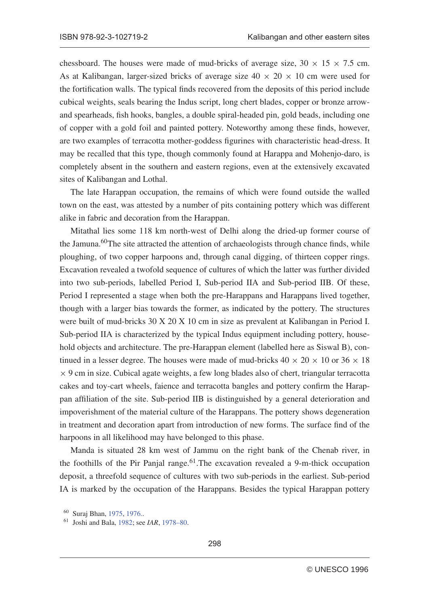chessboard. The houses were made of mud-bricks of average size,  $30 \times 15 \times 7.5$  cm. As at Kalibangan, larger-sized bricks of average size  $40 \times 20 \times 10$  cm were used for the fortification walls. The typical finds recovered from the deposits of this period include cubical weights, seals bearing the Indus script, long chert blades, copper or bronze arrowand spearheads, fish hooks, bangles, a double spiral-headed pin, gold beads, including one of copper with a gold foil and painted pottery. Noteworthy among these finds, however, are two examples of terracotta mother-goddess figurines with characteristic head-dress. It may be recalled that this type, though commonly found at Harappa and Mohenjo-daro, is completely absent in the southern and eastern regions, even at the extensively excavated sites of Kalibangan and Lothal.

The late Harappan occupation, the remains of which were found outside the walled town on the east, was attested by a number of pits containing pottery which was different alike in fabric and decoration from the Harappan.

Mitathal lies some 118 km north-west of Delhi along the dried-up former course of the Jamuna.<sup>60</sup>The site attracted the attention of archaeologists through chance finds, while ploughing, of two copper harpoons and, through canal digging, of thirteen copper rings. Excavation revealed a twofold sequence of cultures of which the latter was further divided into two sub-periods, labelled Period I, Sub-period IIA and Sub-period IIB. Of these, Period I represented a stage when both the pre-Harappans and Harappans lived together, though with a larger bias towards the former, as indicated by the pottery. The structures were built of mud-bricks 30 X 20 X 10 cm in size as prevalent at Kalibangan in Period I. Sub-period IIA is characterized by the typical Indus equipment including pottery, household objects and architecture. The pre-Harappan element (labelled here as Siswal B), continued in a lesser degree. The houses were made of mud-bricks  $40 \times 20 \times 10$  or  $36 \times 18$  $\times$  9 cm in size. Cubical agate weights, a few long blades also of chert, triangular terracotta cakes and toy-cart wheels, faience and terracotta bangles and pottery confirm the Harappan affiliation of the site. Sub-period IIB is distinguished by a general deterioration and impoverishment of the material culture of the Harappans. The pottery shows degeneration in treatment and decoration apart from introduction of new forms. The surface find of the harpoons in all likelihood may have belonged to this phase.

Manda is situated 28 km west of Jammu on the right bank of the Chenab river, in the foothills of the Pir Panjal range.<sup>61</sup>. The excavation revealed a 9-m-thick occupation deposit, a threefold sequence of cultures with two sub-periods in the earliest. Sub-period IA is marked by the occupation of the Harappans. Besides the typical Harappan pottery

<sup>60</sup> Suraj Bhan, 1975, 1976..

<sup>61</sup> Joshi and Bala, 1982; see *IAR*, 1978–80.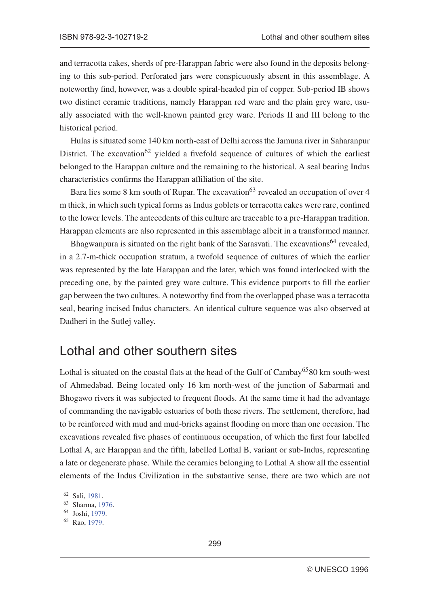and terracotta cakes, sherds of pre-Harappan fabric were also found in the deposits belonging to this sub-period. Perforated jars were conspicuously absent in this assemblage. A noteworthy find, however, was a double spiral-headed pin of copper. Sub-period IB shows two distinct ceramic traditions, namely Harappan red ware and the plain grey ware, usually associated with the well-known painted grey ware. Periods II and III belong to the historical period.

Hulas is situated some 140 km north-east of Delhi across the Jamuna river in Saharanpur District. The excavation<sup>62</sup> yielded a fivefold sequence of cultures of which the earliest belonged to the Harappan culture and the remaining to the historical. A seal bearing Indus characteristics confirms the Harappan affiliation of the site.

Bara lies some 8 km south of Rupar. The excavation<sup>63</sup> revealed an occupation of over 4 m thick, in which such typical forms as Indus goblets or terracotta cakes were rare, confined to the lower levels. The antecedents of this culture are traceable to a pre-Harappan tradition. Harappan elements are also represented in this assemblage albeit in a transformed manner.

Bhagwanpura is situated on the right bank of the Sarasvati. The excavations<sup>64</sup> revealed. in a 2.7-m-thick occupation stratum, a twofold sequence of cultures of which the earlier was represented by the late Harappan and the later, which was found interlocked with the preceding one, by the painted grey ware culture. This evidence purports to fill the earlier gap between the two cultures. A noteworthy find from the overlapped phase was a terracotta seal, bearing incised Indus characters. An identical culture sequence was also observed at Dadheri in the Sutlej valley.

### Lothal and other southern sites

Lothal is situated on the coastal flats at the head of the Gulf of  $Cambay<sup>65</sup>80$  km south-west of Ahmedabad. Being located only 16 km north-west of the junction of Sabarmati and Bhogawo rivers it was subjected to frequent floods. At the same time it had the advantage of commanding the navigable estuaries of both these rivers. The settlement, therefore, had to be reinforced with mud and mud-bricks against flooding on more than one occasion. The excavations revealed five phases of continuous occupation, of which the first four labelled Lothal A, are Harappan and the fifth, labelled Lothal B, variant or sub-Indus, representing a late or degenerate phase. While the ceramics belonging to Lothal A show all the essential elements of the Indus Civilization in the substantive sense, there are two which are not

<sup>62</sup> Sali, 1981.

<sup>63</sup> Sharma, 1976.

<sup>64</sup> Joshi, 1979.

<sup>65</sup> Rao, 1979.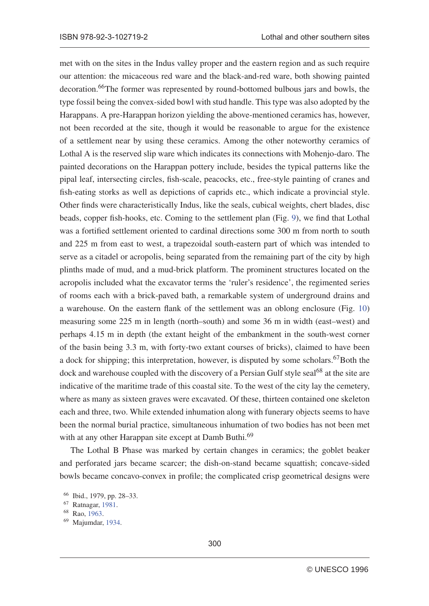met with on the sites in the Indus valley proper and the eastern region and as such require our attention: the micaceous red ware and the black-and-red ware, both showing painted decoration.<sup>66</sup>The former was represented by round-bottomed bulbous jars and bowls, the type fossil being the convex-sided bowl with stud handle. This type was also adopted by the Harappans. A pre-Harappan horizon yielding the above-mentioned ceramics has, however, not been recorded at the site, though it would be reasonable to argue for the existence of a settlement near by using these ceramics. Among the other noteworthy ceramics of Lothal A is the reserved slip ware which indicates its connections with Mohenjo-daro. The painted decorations on the Harappan pottery include, besides the typical patterns like the pipal leaf, intersecting circles, fish-scale, peacocks, etc., free-style painting of cranes and fish-eating storks as well as depictions of caprids etc., which indicate a provincial style. Other finds were characteristically Indus, like the seals, cubical weights, chert blades, disc beads, copper fish-hooks, etc. Coming to the settlement plan (Fig. 9), we find that Lothal was a fortified settlement oriented to cardinal directions some 300 m from north to south and 225 m from east to west, a trapezoidal south-eastern part of which was intended to serve as a citadel or acropolis, being separated from the remaining part of the city by high plinths made of mud, and a mud-brick platform. The prominent structures located on the acropolis included what the excavator terms the 'ruler's residence', the regimented series of rooms each with a brick-paved bath, a remarkable system of underground drains and a warehouse. On the eastern flank of the settlement was an oblong enclosure (Fig. 10) measuring some 225 m in length (north–south) and some 36 m in width (east–west) and perhaps 4.15 m in depth (the extant height of the embankment in the south-west corner of the basin being 3.3 m, with forty-two extant courses of bricks), claimed to have been a dock for shipping; this interpretation, however, is disputed by some scholars.<sup>67</sup>Both the dock and warehouse coupled with the discovery of a Persian Gulf style seal<sup>68</sup> at the site are indicative of the maritime trade of this coastal site. To the west of the city lay the cemetery, where as many as sixteen graves were excavated. Of these, thirteen contained one skeleton each and three, two. While extended inhumation along with funerary objects seems to have been the normal burial practice, simultaneous inhumation of two bodies has not been met with at any other Harappan site except at Damb Buthi.<sup>69</sup>

The Lothal B Phase was marked by certain changes in ceramics; the goblet beaker and perforated jars became scarcer; the dish-on-stand became squattish; concave-sided bowls became concavo-convex in profile; the complicated crisp geometrical designs were

<sup>66</sup> Ibid., 1979, pp. 28–33.

<sup>67</sup> Ratnagar, 1981.

<sup>68</sup> Rao, 1963.

<sup>69</sup> Majumdar, 1934.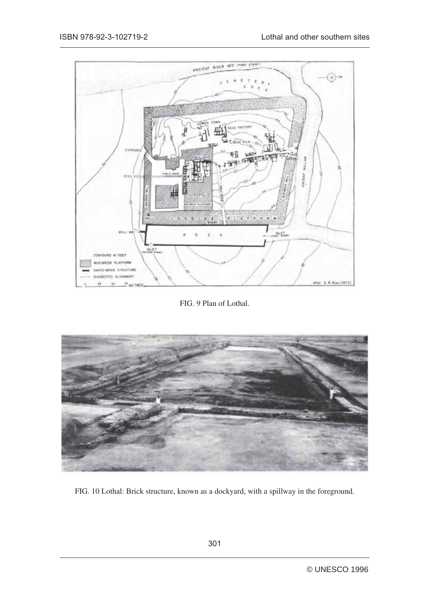

#### FIG. 9 Plan of Lothal.



FIG. 10 Lothal: Brick structure, known as a dockyard, with a spillway in the foreground.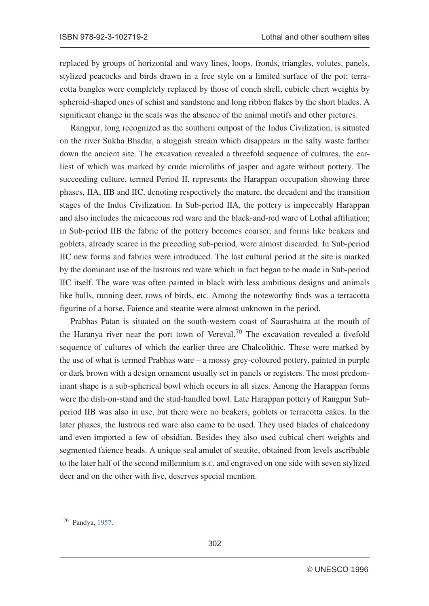replaced by groups of horizontal and wavy lines, loops, fronds, triangles, volutes, panels, stylized peacocks and birds drawn in a free style on a limited surface of the pot; terracotta bangles were completely replaced by those of conch shell, cubicle chert weights by spheroid-shaped ones of schist and sandstone and long ribbon flakes by the short blades. A significant change in the seals was the absence of the animal motifs and other pictures.

Rangpur, long recognized as the southern outpost of the Indus Civilization, is situated on the river Sukha Bhadar, a sluggish stream which disappears in the salty waste farther down the ancient site. The excavation revealed a threefold sequence of cultures, the earliest of which was marked by crude microliths of jasper and agate without pottery. The succeeding culture, termed Period II, represents the Harappan occupation showing three phases, IIA, IIB and IIC, denoting respectively the mature, the decadent and the transition stages of the Indus Civilization. In Sub-period IIA, the pottery is impeccably Harappan and also includes the micaceous red ware and the black-and-red ware of Lothal affiliation; in Sub-period IIB the fabric of the pottery becomes coarser, and forms like beakers and goblets, already scarce in the preceding sub-period, were almost discarded. In Sub-period IIC new forms and fabrics were introduced. The last cultural period at the site is marked by the dominant use of the lustrous red ware which in fact began to be made in Sub-period IIC itself. The ware was often painted in black with less ambitious designs and animals like bulls, running deer, rows of birds, etc. Among the noteworthy finds was a terracotta figurine of a horse. Faience and steatite were almost unknown in the period.

Prabhas Patan is situated on the south-western coast of Saurashatra at the mouth of the Haranya river near the port town of Vereval.<sup>70</sup> The excavation revealed a fivefold sequence of cultures of which the earlier three are Chalcolithic. These were marked by the use of what is termed Prabhas ware – a mossy grey-coloured pottery, painted in purple or dark brown with a design ornament usually set in panels or registers. The most predominant shape is a sub-spherical bowl which occurs in all sizes. Among the Harappan forms were the dish-on-stand and the stud-handled bowl. Late Harappan pottery of Rangpur Subperiod IIB was also in use, but there were no beakers, goblets or terracotta cakes. In the later phases, the lustrous red ware also came to be used. They used blades of chalcedony and even imported a few of obsidian. Besides they also used cubical chert weights and segmented faience beads. A unique seal amulet of steatite, obtained from levels ascribable to the later half of the second millennium b.c. and engraved on one side with seven stylized deer and on the other with five, deserves special mention.

<sup>70</sup> Pandya, 1957.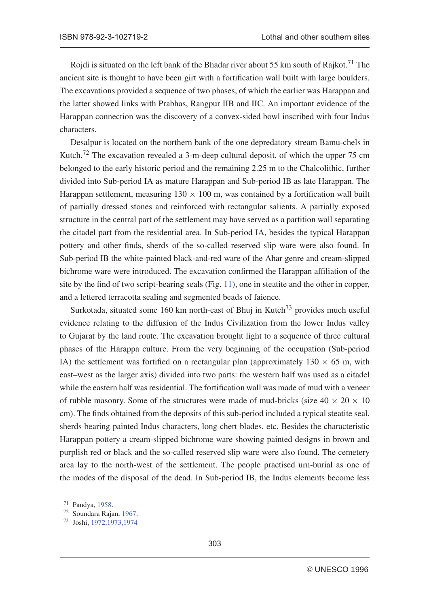Rojdi is situated on the left bank of the Bhadar river about 55 km south of Rajkot.<sup>71</sup> The ancient site is thought to have been girt with a fortification wall built with large boulders. The excavations provided a sequence of two phases, of which the earlier was Harappan and the latter showed links with Prabhas, Rangpur IIB and IIC. An important evidence of the Harappan connection was the discovery of a convex-sided bowl inscribed with four Indus characters.

Desalpur is located on the northern bank of the one depredatory stream Bamu-chels in Kutch.<sup>72</sup> The excavation revealed a 3-m-deep cultural deposit, of which the upper 75 cm belonged to the early historic period and the remaining 2.25 m to the Chalcolithic, further divided into Sub-period IA as mature Harappan and Sub-period IB as late Harappan. The Harappan settlement, measuring  $130 \times 100$  m, was contained by a fortification wall built of partially dressed stones and reinforced with rectangular salients. A partially exposed structure in the central part of the settlement may have served as a partition wall separating the citadel part from the residential area. In Sub-period IA, besides the typical Harappan pottery and other finds, sherds of the so-called reserved slip ware were also found. In Sub-period IB the white-painted black-and-red ware of the Ahar genre and cream-slipped bichrome ware were introduced. The excavation confirmed the Harappan affiliation of the site by the find of two script-bearing seals (Fig. 11), one in steatite and the other in copper, and a lettered terracotta sealing and segmented beads of faience.

Surkotada, situated some 160 km north-east of Bhuj in Kutch<sup>73</sup> provides much useful evidence relating to the diffusion of the Indus Civilization from the lower Indus valley to Gujarat by the land route. The excavation brought light to a sequence of three cultural phases of the Harappa culture. From the very beginning of the occupation (Sub-period IA) the settlement was fortified on a rectangular plan (approximately  $130 \times 65$  m, with east–west as the larger axis) divided into two parts: the western half was used as a citadel while the eastern half was residential. The fortification wall was made of mud with a veneer of rubble masonry. Some of the structures were made of mud-bricks (size  $40 \times 20 \times 10$ ) cm). The finds obtained from the deposits of this sub-period included a typical steatite seal, sherds bearing painted Indus characters, long chert blades, etc. Besides the characteristic Harappan pottery a cream-slipped bichrome ware showing painted designs in brown and purplish red or black and the so-called reserved slip ware were also found. The cemetery area lay to the north-west of the settlement. The people practised urn-burial as one of the modes of the disposal of the dead. In Sub-period IB, the Indus elements become less

<sup>71</sup> Pandya, 1958.

<sup>72</sup> Soundara Rajan, 1967.

<sup>73</sup> Joshi, 1972,1973,1974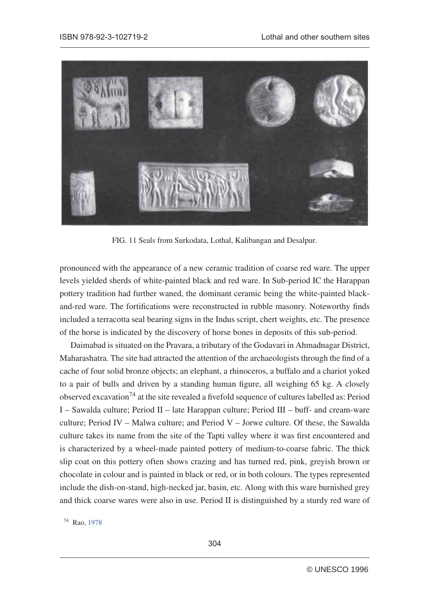

FIG. 11 Seals from Surkodata, Lothal, Kalibangan and Desalpur.

pronounced with the appearance of a new ceramic tradition of coarse red ware. The upper levels yielded sherds of white-painted black and red ware. In Sub-period IC the Harappan pottery tradition had further waned, the dominant ceramic being the white-painted blackand-red ware. The fortifications were reconstructed in rubble masonry. Noteworthy finds included a terracotta seal bearing signs in the Indus script, chert weights, etc. The presence of the horse is indicated by the discovery of horse bones in deposits of this sub-period.

Daimabad is situated on the Pravara, a tributary of the Godavari in Ahmadnagar District, Maharashatra. The site had attracted the attention of the archaeologists through the find of a cache of four solid bronze objects; an elephant, a rhinoceros, a buffalo and a chariot yoked to a pair of bulls and driven by a standing human figure, all weighing 65 kg. A closely observed excavation<sup>74</sup> at the site revealed a fivefold sequence of cultures labelled as: Period I – Sawalda culture; Period II – late Harappan culture; Period III – buff- and cream-ware culture; Period IV – Malwa culture; and Period V – Jorwe culture. Of these, the Sawalda culture takes its name from the site of the Tapti valley where it was first encountered and is characterized by a wheel-made painted pottery of medium-to-coarse fabric. The thick slip coat on this pottery often shows crazing and has turned red, pink, greyish brown or chocolate in colour and is painted in black or red, or in both colours. The types represented include the dish-on-stand, high-necked jar, basin, etc. Along with this ware burnished grey and thick coarse wares were also in use. Period II is distinguished by a sturdy red ware of

<sup>74</sup> Rao, 1978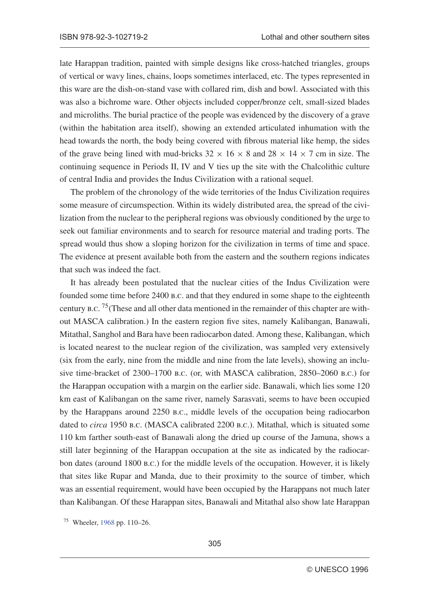late Harappan tradition, painted with simple designs like cross-hatched triangles, groups of vertical or wavy lines, chains, loops sometimes interlaced, etc. The types represented in this ware are the dish-on-stand vase with collared rim, dish and bowl. Associated with this was also a bichrome ware. Other objects included copper/bronze celt, small-sized blades and microliths. The burial practice of the people was evidenced by the discovery of a grave (within the habitation area itself), showing an extended articulated inhumation with the head towards the north, the body being covered with fibrous material like hemp, the sides of the grave being lined with mud-bricks  $32 \times 16 \times 8$  and  $28 \times 14 \times 7$  cm in size. The continuing sequence in Periods II, IV and V ties up the site with the Chalcolithic culture of central India and provides the Indus Civilization with a rational sequel.

The problem of the chronology of the wide territories of the Indus Civilization requires some measure of circumspection. Within its widely distributed area, the spread of the civilization from the nuclear to the peripheral regions was obviously conditioned by the urge to seek out familiar environments and to search for resource material and trading ports. The spread would thus show a sloping horizon for the civilization in terms of time and space. The evidence at present available both from the eastern and the southern regions indicates that such was indeed the fact.

It has already been postulated that the nuclear cities of the Indus Civilization were founded some time before 2400 b.c. and that they endured in some shape to the eighteenth century  $B.C.$  <sup>75</sup>(These and all other data mentioned in the remainder of this chapter are without MASCA calibration.) In the eastern region five sites, namely Kalibangan, Banawali, Mitathal, Sanghol and Bara have been radiocarbon dated. Among these, Kalibangan, which is located nearest to the nuclear region of the civilization, was sampled very extensively (six from the early, nine from the middle and nine from the late levels), showing an inclusive time-bracket of 2300–1700 b.c. (or, with MASCA calibration, 2850–2060 b.c.) for the Harappan occupation with a margin on the earlier side. Banawali, which lies some 120 km east of Kalibangan on the same river, namely Sarasvati, seems to have been occupied by the Harappans around 2250 b.c., middle levels of the occupation being radiocarbon dated to *circa* 1950 b.c. (MASCA calibrated 2200 b.c.). Mitathal, which is situated some 110 km farther south-east of Banawali along the dried up course of the Jamuna, shows a still later beginning of the Harappan occupation at the site as indicated by the radiocarbon dates (around 1800 b.c.) for the middle levels of the occupation. However, it is likely that sites like Rupar and Manda, due to their proximity to the source of timber, which was an essential requirement, would have been occupied by the Harappans not much later than Kalibangan. Of these Harappan sites, Banawali and Mitathal also show late Harappan

<sup>75</sup> Wheeler, 1968 pp. 110–26.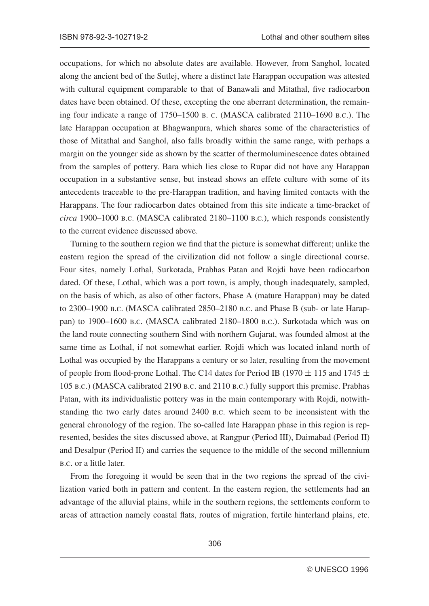occupations, for which no absolute dates are available. However, from Sanghol, located along the ancient bed of the Sutlej, where a distinct late Harappan occupation was attested with cultural equipment comparable to that of Banawali and Mitathal, five radiocarbon dates have been obtained. Of these, excepting the one aberrant determination, the remaining four indicate a range of 1750–1500 b. c. (MASCA calibrated 2110–1690 b.c.). The late Harappan occupation at Bhagwanpura, which shares some of the characteristics of those of Mitathal and Sanghol, also falls broadly within the same range, with perhaps a margin on the younger side as shown by the scatter of thermoluminescence dates obtained from the samples of pottery. Bara which lies close to Rupar did not have any Harappan occupation in a substantive sense, but instead shows an effete culture with some of its antecedents traceable to the pre-Harappan tradition, and having limited contacts with the Harappans. The four radiocarbon dates obtained from this site indicate a time-bracket of *circa* 1900–1000 b.c. (MASCA calibrated 2180–1100 b.c.), which responds consistently to the current evidence discussed above.

Turning to the southern region we find that the picture is somewhat different; unlike the eastern region the spread of the civilization did not follow a single directional course. Four sites, namely Lothal, Surkotada, Prabhas Patan and Rojdi have been radiocarbon dated. Of these, Lothal, which was a port town, is amply, though inadequately, sampled, on the basis of which, as also of other factors, Phase A (mature Harappan) may be dated to 2300–1900 b.c. (MASCA calibrated 2850–2180 b.c. and Phase B (sub- or late Harappan) to 1900–1600 b.c. (MASCA calibrated 2180–1800 b.c.). Surkotada which was on the land route connecting southern Sind with northern Gujarat, was founded almost at the same time as Lothal, if not somewhat earlier. Rojdi which was located inland north of Lothal was occupied by the Harappans a century or so later, resulting from the movement of people from flood-prone Lothal. The C14 dates for Period IB (1970  $\pm$  115 and 1745  $\pm$ 105 b.c.) (MASCA calibrated 2190 b.c. and 2110 b.c.) fully support this premise. Prabhas Patan, with its individualistic pottery was in the main contemporary with Rojdi, notwithstanding the two early dates around 2400 b.c. which seem to be inconsistent with the general chronology of the region. The so-called late Harappan phase in this region is represented, besides the sites discussed above, at Rangpur (Period III), Daimabad (Period II) and Desalpur (Period II) and carries the sequence to the middle of the second millennium b.c. or a little later.

From the foregoing it would be seen that in the two regions the spread of the civilization varied both in pattern and content. In the eastern region, the settlements had an advantage of the alluvial plains, while in the southern regions, the settlements conform to areas of attraction namely coastal flats, routes of migration, fertile hinterland plains, etc.